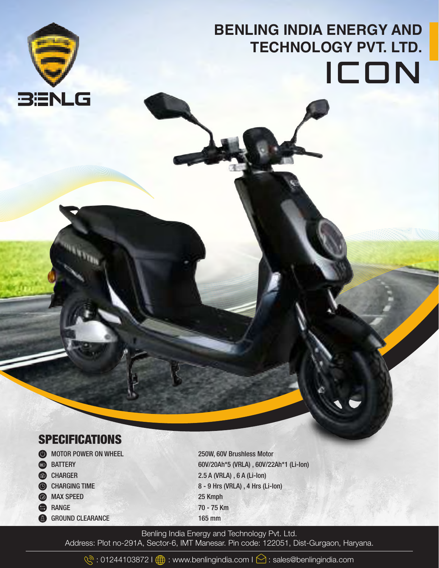

## **BENLING INDIA ENERGY AND TECHNOLOGY PVT. LTD.** ICON

## **SPECIFICATIONS**

- **COMPONER ON WHEEL 250W, 60V Brushless Motor**
- 
- 
- 
- **Example 25 Kmph** 25 Kmph
- 
- GROUND CLEARANCE 165 mm

**BATTERY** 60V/20Ah\*5 (VRLA), 60V/22Ah\*1 (Li-Ion) **CHARGER** 2.5 A (VRLA), 6 A (Li-Ion) CHARGING TIME 8 - 9 Hrs (VRLA), 4 Hrs (Li-Ion) **Example 70 - 75 Km** 

Benling India Energy and Technology Pvt. Ltd. Address: Plot no-291A, Sector-6, IMT Manesar. Pin code: 122051, Dist-Gurgaon, Haryana.

 $\mathbb{Q}$ : 01244103872 I  $\bigoplus$ : www.benlingindia.com I  $\bigodot$ : sales@benlingindia.com